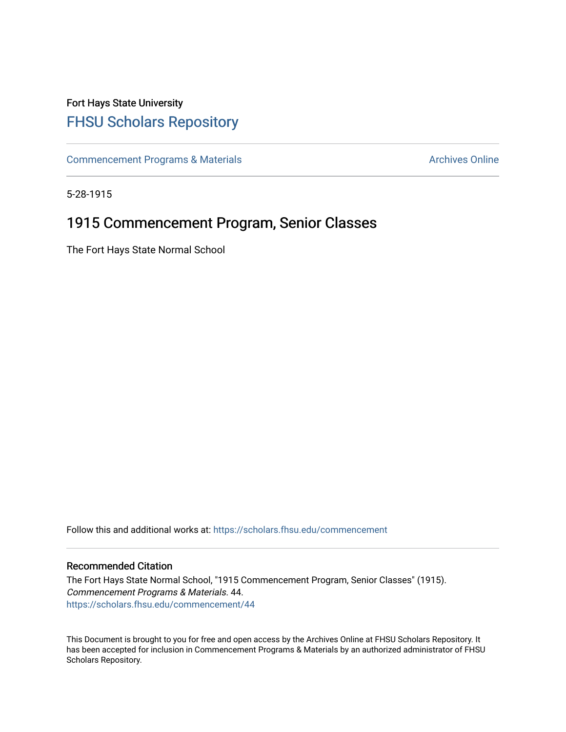# Fort Hays State University [FHSU Scholars Repository](https://scholars.fhsu.edu/)

[Commencement Programs & Materials](https://scholars.fhsu.edu/commencement) **Archives Online** Archives Online

5-28-1915

# 1915 Commencement Program, Senior Classes

The Fort Hays State Normal School

Follow this and additional works at: [https://scholars.fhsu.edu/commencement](https://scholars.fhsu.edu/commencement?utm_source=scholars.fhsu.edu%2Fcommencement%2F44&utm_medium=PDF&utm_campaign=PDFCoverPages)

### Recommended Citation

The Fort Hays State Normal School, "1915 Commencement Program, Senior Classes" (1915). Commencement Programs & Materials. 44. [https://scholars.fhsu.edu/commencement/44](https://scholars.fhsu.edu/commencement/44?utm_source=scholars.fhsu.edu%2Fcommencement%2F44&utm_medium=PDF&utm_campaign=PDFCoverPages) 

This Document is brought to you for free and open access by the Archives Online at FHSU Scholars Repository. It has been accepted for inclusion in Commencement Programs & Materials by an authorized administrator of FHSU Scholars Repository.